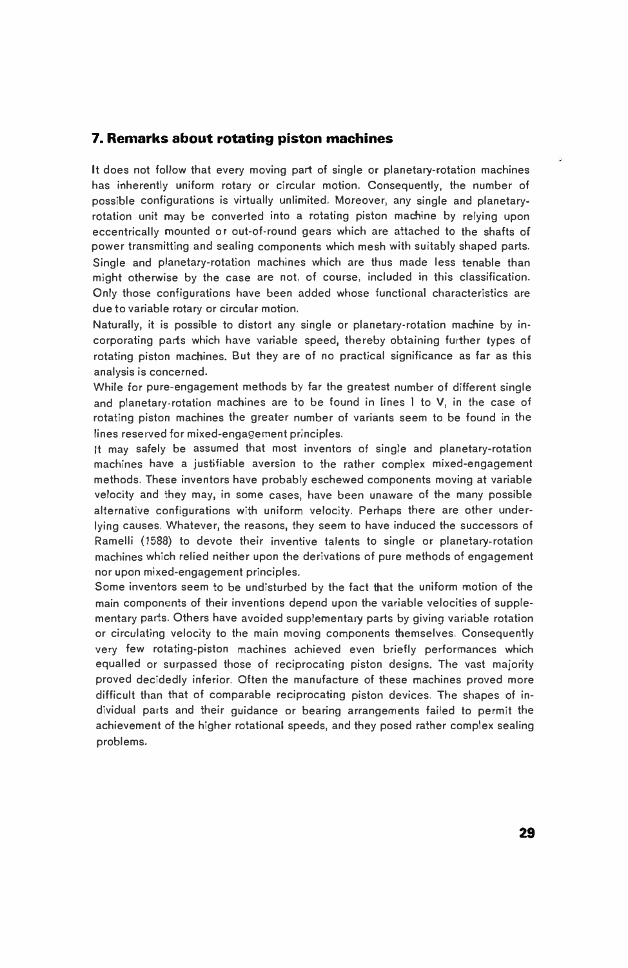# **7. Remarks about rotating piston machines**

It does not follow that every moving part of single or planetary-rotation machines has inherently uniform rotary or circular motion. Consequently, the number of possible configurations is virtually unlimited. Moreover, any single and planetaryrotation unit may be converted into a rotating piston machine by relying upon eccentrically mounted or out-of-round gears which are attached to the shafts of power transmitting and sealing components which mesh with suitably shaped parts. Single and planetary-rotation machines which are thus made less tenable than might otherwise by the case are not, of course, included in this classification. Only those configurations have been added whose functional characteristics are due to variable rotary or circular motion.

Naturally, it is possible to distort any single or planetary-rotation machine by incorporating parts which have variable speed, thereby obtaining further types of rotating piston machines. But they are of no practical significance as far as this analysis is concerned.

While for pure-engagement methods by far the greatest number of different single and planetary-rotation machines are to be found in lines I to V, in the case of rotating piston machines the greater number of variants seem to be found in the lines reserved for mixed-engagement principles.

It may safely be assumed that most inventors of single and planetary-rotation machines have a justifiable aversion to the rather complex mixed-engagement methods. These inventors have probably eschewed components moving at variable velocity and they may, in some cases, have been unaware of the many possible alternative configurations with uniform velocity. Perhaps there are other underlying causes. Whatever, the reasons, they seem to have induced the successors of Ramelli (1588) to devote their inventive talents to single or planetary-rotation machines which relied neither upon the derivations of pure methods of engagement nor upon mixed-engagement principles.

Some inventors seem to be undisturbed by the fact that the uniform motion of the main components of their inventions depend upon the variable velocities of supplementary parts. Others have avoided supplementary parts by giving variable rotation or circulating velocity to the main moving components themselves. Consequently very few rotating-piston machines achieved even briefly performances which equalled or surpassed those of reciprocating piston designs. The vast majority proved decidedly inferior. Often the manufacture of these machines proved more difficult than that of comparable reciprocating piston devices. The shapes of individual parts and their guidance or bearing arrangements failed to permit the achievement of the higher rotational speeds, and they posed rather complex sealing problems.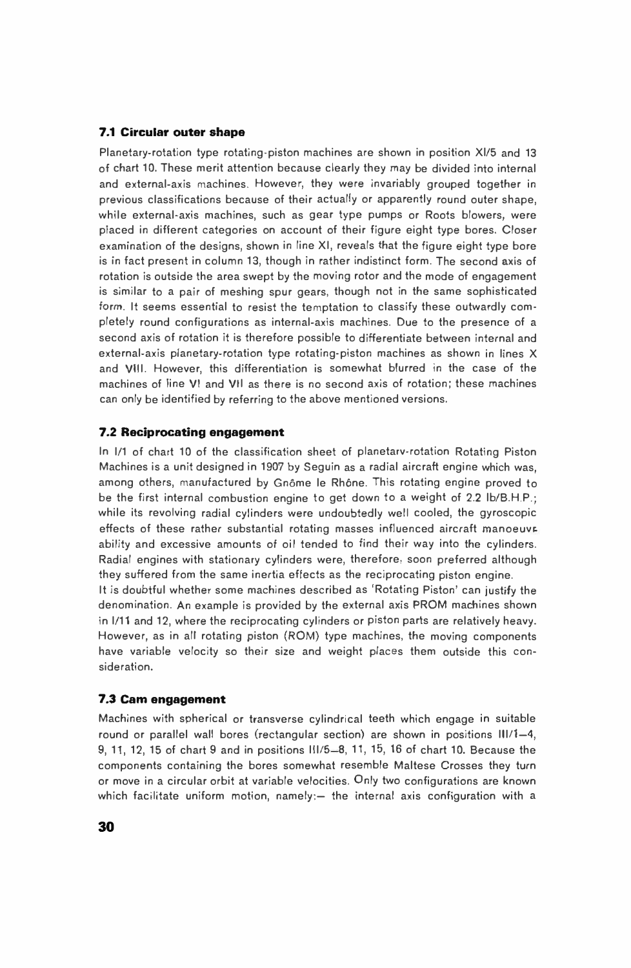## **7.1 Circular outer shape**

Planetary-rotation type rotating-piston machines are shown in position Xl/5 and 13 of chart 10. These merit attention because clearly they may be divided into internal and external-axis machines. However, they were invariably grouped together in previous classifications because of their actually or apparently round outer shape, while external-axis machines, such as gear type pumps or Roots blowers, were placed in different categories on account of their figure eight type bores. Closer examination of the designs, shown in line XI, reveals that the figure eight type bore is in fact present in column 13, though in rather indistinct form. The second **axis** of rotation is outside the area swept by the moving rotor and the mode of engagement is similar to a pair of meshing spur gears, though not in the same sophisticated form. It seems essential to resist the temptation to classify these outwardly completely round configurations as internal-axis machines. Due to the presence of a second axis of rotation it is therefore possible to differentiate between internal and external-axis planetary-rotation type rotating-piston machines as shown in lines X and VIII. However, this differentiation is somewhat blurred in the case of the machines of line VI and VII as there is no second axis of rotation; these machines can only be identified by referring to the above mentioned versions.

#### **7.2 Reciprocating engagement**

In 1/1 of chart 10 of the classification sheet of planetarv-rotation Rotating Piston Machines is a unit designed in 1907 by Seguin as a radial aircraft engine which was, among others, manufactured by Gnôme le Rhône. This rotating engine proved to be the first internal combustion engine to get down to a weight of 2.2 lb/B.H.P.; while its revolving radial cylinders were undoubtedly well cooled, the gyroscopic effects of these rather substantial rotating masses influenced aircraft manoeuvrability and excessive amounts of oil tended to find their way into the cylinders. Radial engines with stationary cylinders were, therefore, soon preferred although they suffered from the same inertia effects as the reciprocating piston engine.

It is doubtful whether some machines described as 'Rotating Piston' can justify the denomination. An example is provided by the external axis PROM machines shown in 1/11 and 12, where the reciprocating cylinders or piston parts are relatively heavy. However, as in all rotating piston (ROM) type machines, the moving components have variable velocity so their size and weight places them outside this consideration.

#### **7.3 Cam engagement**

Machines with spherical or transverse cylindrical teeth which engage in suitable round or parallel wall bores (rectangular section) are shown in positions  $III/1-4$ , 9, 11, 12, 15 of chart 9 and in positions 111/5-8, 11, 15, 16 of chart 10. Because the components containing the bores somewhat resemble Maltese Crosses they turn or move in a circular orbit at variable velocities. Only two configurations are known which facilitate uniform motion, namely: $-$  the internal axis configuration with a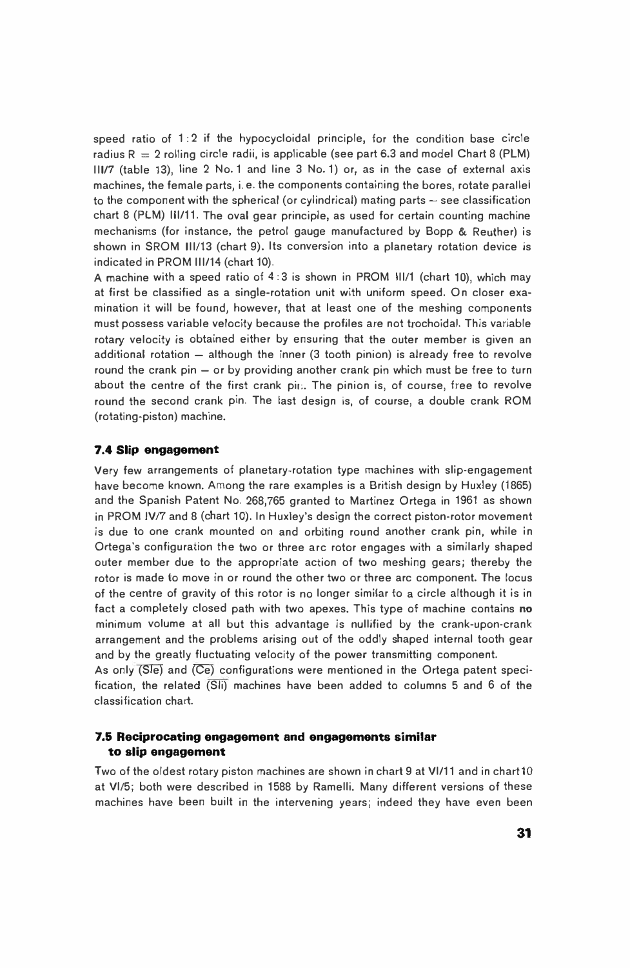speed ratio of  $1:2$  if the hypocycloidal principle, for the condition base circle radius  $R = 2$  rolling circle radii, is applicable (see part 6.3 and model Chart 8 (PLM) 111/7 (table 13), line 2 No. 1 and line 3 No. 1) or, as in the case of external axis machines, the female parts, i. e. the components containing the bores, rotate parallel to the component with the spherical (or cylindrical) mating parts  $-$  see classification chart 8 (PLM) 111/11. The oval gear principle, as used for certain counting machine mechanisms (for instance, the petrol gauge manufactured by Bopp & Reuther) is shown in SROM 111/13 (chart 9). Its conversion into a planetary rotation device is indicated in PROM 111/14 (chart 10).

A machine with a speed ratio of 4: 3 is shown in PROM 111/1 (chart 10), which may at first be classified as a single-rotation unit with uniform speed. On closer examination it will be found, however, that at least one of the meshing components must possess variable velocity because the profiles are not trochoidal. This variable rotary velocity is obtained either by ensuring that the outer member is given an additional rotation  $-$  although the inner  $(3 \text{ tooth pinion})$  is already free to revolve round the crank pin  $-$  or by providing another crank pin which must be free to turn about the centre of the first crank pin. The pinion is, of course, free to revolve round the second crank pin. The last design is, of course, a double crank ROM (rotating-piston) machine.

#### **7.4 Slip engagement**

Very few arrangements of planetary-rotation type machines with slip-engagement have become known. Among the rare examples is a British design by Huxley (1865) and the Spanish Patent No. 268,765 granted to Martinez Ortega in 1961 as shown in PROM IV/7 and 8 (chart 10). In Huxley's design the correct piston-rotor movement is due to one crank mounted on and orbiting round another crank pin, while in Ortega's configuration the two or three arc rotor engages with a similarly shaped outer member due to the appropriate action of two meshing gears; thereby the rotor is made to move in or round the other two or three arc component. The locus of the centre of gravity of this rotor is no longer similar to a circle although it is in fact a completely closed path with two apexes. This type of machine contains no minimum volume at all but this advantage is nullified by the crank-upon-crank arrangement and the problems arising out of the oddly shaped internal tooth gear and by the greatly fluctuating velocity of the power transmitting component.

As only (Sle) and (Ce) configurations were mentioned in the Ortega patent specification, the related (Sli) machines have been added to columns 5 and 6 of the classification chart.

## **7.6 Reciprocating engagement and engagements similar to slip engagement**

Two of the oldest rotary piston machines are shown in chart 9 at Vl/11 and in chart 10 at Vl/5; both were described in 1588 by Ramelli. Many different versions of these machines have been built in the intervening years; indeed they have even been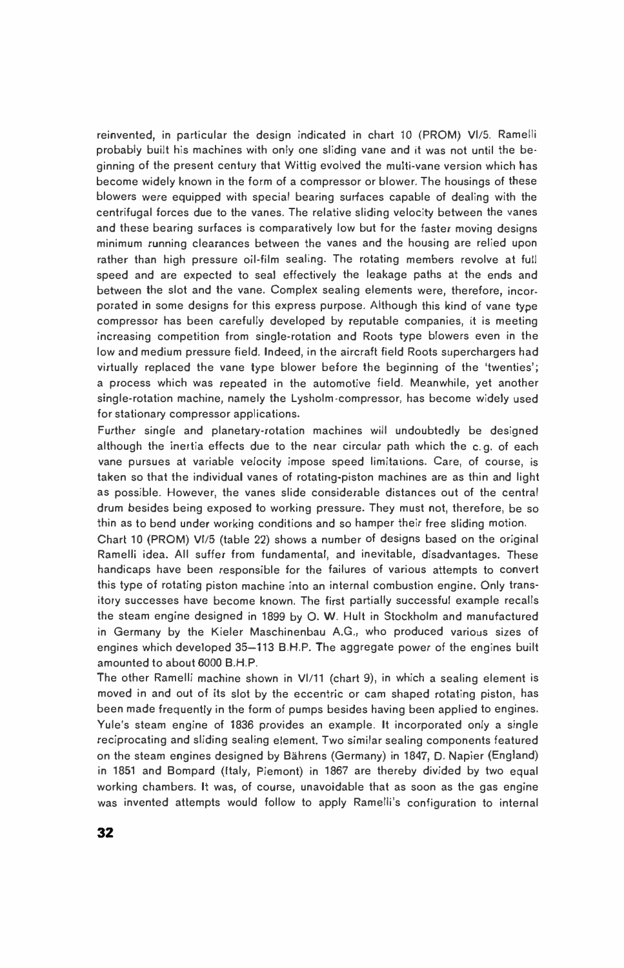reinvented, in particular the design indicated in chart 10 (PROM) Vl/5. Ramelli probably built his machines with only one sliding vane and it was not until the beginning of the present century that Wittig evolved the multi-vane version which has become widely known in the form of a compressor or blower. The housings of these blowers were equipped with special bearing surfaces capable of dealing with the centrifugal forces due to the vanes. The relative sliding velocity between the vanes and these bearing surfaces is comparatively low but for the faster moving designs minimum running clearances between the vanes and the housing are relied upon rather than high pressure oil-film sealing. The rotating members revolve at full speed and are expected to seal effectively the leakage paths at the ends and between the slot and the vane. Complex sealing elements were, therefore, incorporated in some designs for this express purpose. Although this kind of vane type compressor has been carefully developed by reputable companies, it is meeting increasing competition from single-rotation and Roots type blowers even in the low and medium pressure field. Indeed, in the aircraft field Roots superchargers had virtually replaced the vane type blower before the beginning of the 'twenties'; a process which was repeated in the automotive field. Meanwhile, yet another single-rotation machine, namely the Lysholm-compressor, has become widely used for stationary compressor applications.

Further single and planetary-rotation machines will undoubtedly be designed although the inertia effects due to the near circular path which the c. g. of each vane pursues at variable velocity impose speed limitations. Care, of course, is taken so that the individual vanes of rotating-piston machines are as thin and light as possible. However, the vanes slide considerable distances out of the central drum besides being exposed to working pressure. They must not, therefore, be so thin as to bend under working conditions and so hamper their free sliding motion.

Chart 10 (PROM) Vl/5 (table 22) shows a number of designs based on the original Ramelli idea. All suffer from fundamental, and inevitable, disadvantages. These handicaps have been responsible for the failures of various attempts to convert this type of rotating piston machine into an internal combustion engine. Only transitory successes have become known. The first partially successful example recalls the steam engine designed in 1899 by 0. W. Hult in Stockholm and manufactured in Germany by the Kieler Maschinenbau A.G., who produced various sizes of engines which developed 35-113 B.H.P. The aggregate power of the engines built amounted to about 6000 B.H.P.

The other Ramelli machine shown in Vl/11 (chart 9), in which a sealing element is moved in and out of its slot by the eccentric or cam shaped rotating piston, has been made frequently in the form of pumps besides having been applied to engines. Yule's steam engine of 1836 provides an example. It incorporated only a single reciprocating and sliding sealing element. Two similar sealing components featured on the steam engines designed by Bahrens (Germany) in 1847, D. Napier (England) in 1851 and Bompard (Italy, Piemont) in 1867 are thereby divided by two equal working chambers. It was, of course, unavoidable that as soon as the gas engine was invented attempts would follow to apply Ramelli's configuration to internal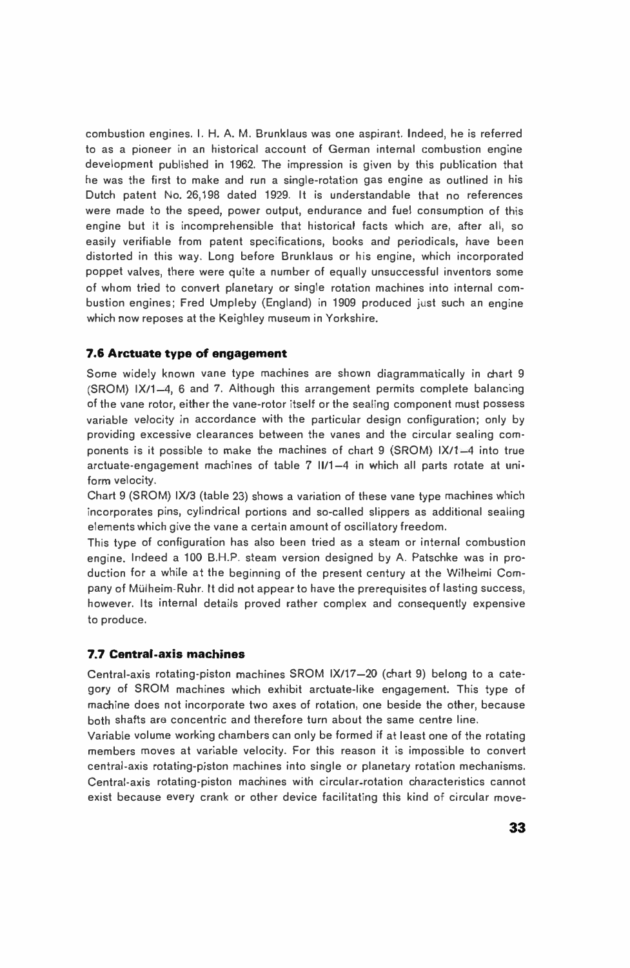combustion engines. I. H. A. M. Brunklaus was one aspirant. Indeed, he is referred to as a pioneer in an historical account of German internal combustion engine development published in 1962. The impression is given by this publication that he was the first to make and run a single-rotation gas engine as outlined in his Dutch patent No. 26,198 dated 1929. It is understandable that no references were made to the speed, power output, endurance and fuel consumption of this engine but it is incomprehensible that historical facts which are, after all, so easily verifiable from patent specifications, books and periodicals, have been distorted in this way. Long before Brunklaus or his engine, which incorporated poppet valves, there were quite a number of equally unsuccessful inventors some of whom tried to convert planetary or single rotation machines into internal combustion engines; Fred Umpleby (England) in 1909 produced just such an engine which now reposes at the Keighley museum in Yorkshire.

# **7.6 Arctuate type of engagement**

Some widely known vane type machines are shown diagrammatically in chart 9  $(SROM)$  IX/1-4, 6 and 7. Although this arrangement permits complete balancing of the vane rotor, either the vane-rotor itself or the sealing component must possess variable velocity in accordance with the particular design configuration; only by providing excessive clearances between the vanes and the circular sealing components is it possible to make the machines of chart 9 (SROM) IX/1-4 into true arctuate-engagement machines of table 7 11/1-4 in which all parts rotate at uniform velocity.

Chart 9 (SROM) IX/3 (table 23) shows a variation of these vane type machines which incorporates pins, cylindrical portions and so-called slippers as additional sealing elements which give the vane a certain amount of oscillatory freedom.

This type of configuration has also been tried as a steam or internal combustion engine. Indeed a 100 B.H.P. steam version designed by A. Patschke was in production for a while at the beginning of the present century at the Wilhelmi Company of Mulheim-Ruhr. It did not appear to have the prerequisites of lasting success, however. Its internal details proved rather complex and consequently expensive to produce.

# **7.7 Central-axis machines**

Central-axis rotating-piston machines SROM IX/17-20 (chart 9) belong to a category of SROM machines which exhibit arctuate-like engagement. This type of machine does not incorporate two axes of rotation, one beside the other, because both shafts are concentric and therefore turn about the same centre line.

Variable volume working chambers can only be formed if at least one of the rotating members moves at variable velocity. For this reason it is impossible to convert central-axis rotating-piston machines into single or planetary rotation mechanisms. Central-axis rotating-piston machines with circular-rotation characteristics cannot exist because every crank or other device facilitating this kind of circular move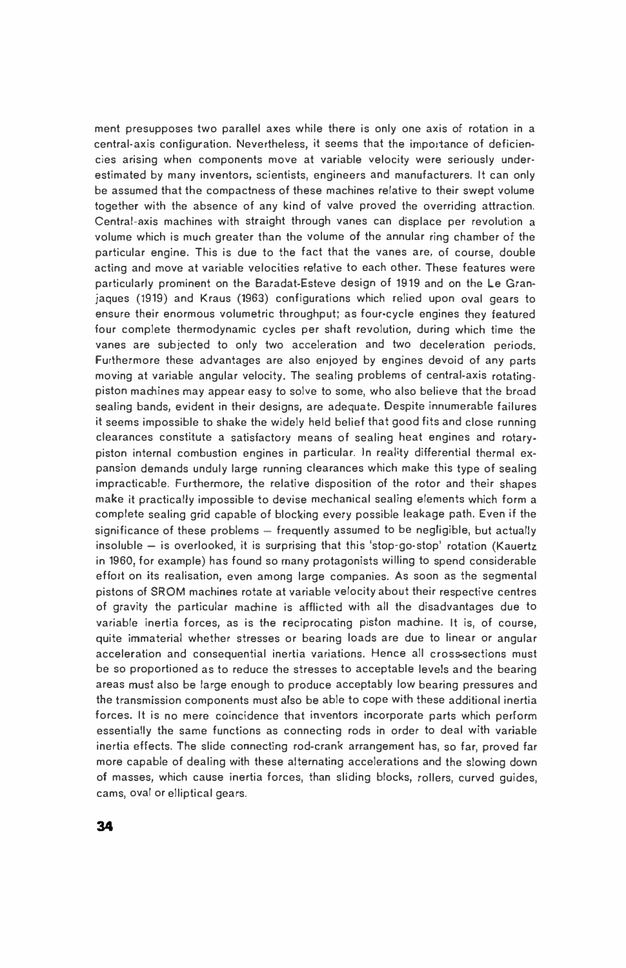ment presupposes two parallel axes while there is only one axis of rotation in a central-axis configuration. Nevertheless, it seems that the importance of deficiencies arising when components move at variable velocity were seriously underestimated by many inventors, scientists, engineers and manufacturers. It can only be assumed that the compactness of these machines relative to their swept volume together with the absence of any kind of valve proved the overriding attraction. Central-axis machines with straight through vanes can displace per revolution a volume which is much greater than the volume of the annular ring chamber of the particular engine. This is due to the fact that the vanes are, of course, double acting and move at variable velocities relative to each other. These features were particularly prominent on the Baradat-Esteve design of 1919 and on the Le Granjaques (1919) and Kraus (1963) configurations which relied upon oval gears to ensure their enormous volumetric throughput; as four-cycle engines they featured four complete thermodynamic cycles per shaft revolution, during which time the vanes are subjected to only two acceleration and two deceleration periods. Furthermore these advantages are also enjoyed by engines devoid of any parts moving at variable angular velocity. The sealing problems of central-axis rotatingpiston machines may appear easy to solve to some, who also believe that the broad sealing bands, evident in their designs, are adequate. Despite innumerable failures it seems impossible to shake the widely held belief that good fits and close running clearances constitute a satisfactory means of sealing heat engines and rotarypiston internal combustion engines in particular. In reality differential thermal expansion demands unduly large running clearances which make this type of sealing impracticable. Furthermore, the relative disposition of the rotor and their shapes make it practically impossible to devise mechanical sealing elements which form a complete sealing grid capable of blocking every possible leakage path. Even if the significance of these problems  $-$  frequently assumed to be negligible, but actually insoluble  $-$  is overlooked, it is surprising that this 'stop-go-stop' rotation (Kauertz in 1960, for example) has found so many protagonists willing to spend considerable effort on its realisation, even among large companies. As soon as the segmental pistons of SROM machines rotate at variable velocity about their respective centres of gravity the particular machine is afflicted with all the disadvantages due to variable inertia forces, as is the reciprocating piston machine. It is, of course, quite immaterial whether stresses or bearing loads are due to linear or angular acceleration and consequential inertia variations. Hence all cross-sections must be so proportioned as to reduce the stresses to acceptable levels and the bearing areas must also be large enough to produce acceptably low bearing pressures and the transmission components must also be able to cope with these additional inertia forces. It is no mere coincidence that inventors incorporate parts which perform essentially the same functions as connecting rods in order to deal with variable inertia effects. The slide connecting rod-crank arrangement has, so far, proved far more capable of dealing with these alternating accelerations and the slowing down of masses, which cause inertia forces, than sliding blocks, rollers, curved guides, cams, oval or elliptical gears.